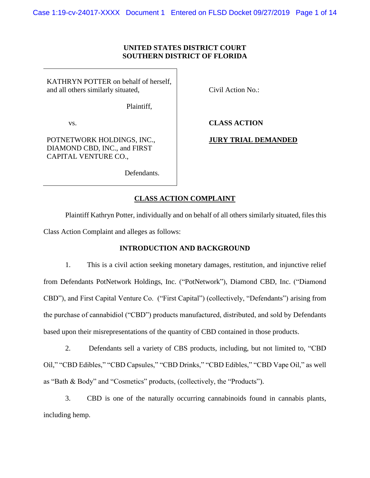## **UNITED STATES DISTRICT COURT SOUTHERN DISTRICT OF FLORIDA**

KATHRYN POTTER on behalf of herself, and all others similarly situated,

Civil Action No.:

Plaintiff,

vs.

**CLASS ACTION**

# POTNETWORK HOLDINGS, INC., DIAMOND CBD, INC., and FIRST CAPITAL VENTURE CO.,

**JURY TRIAL DEMANDED**

Defendants.

# **CLASS ACTION COMPLAINT**

Plaintiff Kathryn Potter, individually and on behalf of all others similarly situated, files this Class Action Complaint and alleges as follows:

# **INTRODUCTION AND BACKGROUND**

1. This is a civil action seeking monetary damages, restitution, and injunctive relief from Defendants PotNetwork Holdings, Inc. ("PotNetwork"), Diamond CBD, Inc. ("Diamond CBD"), and First Capital Venture Co. ("First Capital") (collectively, "Defendants") arising from the purchase of cannabidiol ("CBD") products manufactured, distributed, and sold by Defendants based upon their misrepresentations of the quantity of CBD contained in those products.

2. Defendants sell a variety of CBS products, including, but not limited to, "CBD Oil," "CBD Edibles," "CBD Capsules," "CBD Drinks," "CBD Edibles," "CBD Vape Oil," as well as "Bath & Body" and "Cosmetics" products, (collectively, the "Products").

3. CBD is one of the naturally occurring cannabinoids found in cannabis plants, including hemp.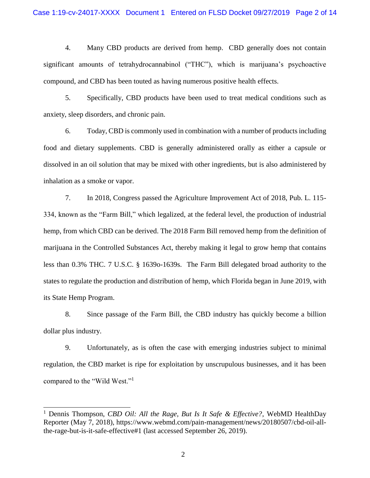4. Many CBD products are derived from hemp. CBD generally does not contain significant amounts of tetrahydrocannabinol ("THC"), which is marijuana's psychoactive compound, and CBD has been touted as having numerous positive health effects.

5. Specifically, CBD products have been used to treat medical conditions such as anxiety, sleep disorders, and chronic pain.

6. Today, CBD is commonly used in combination with a number of products including food and dietary supplements. CBD is generally administered orally as either a capsule or dissolved in an oil solution that may be mixed with other ingredients, but is also administered by inhalation as a smoke or vapor.

7. In 2018, Congress passed the Agriculture Improvement Act of 2018, Pub. L. 115- 334, known as the "Farm Bill," which legalized, at the federal level, the production of industrial hemp, from which CBD can be derived. The 2018 Farm Bill removed hemp from the definition of marijuana in the Controlled Substances Act, thereby making it legal to grow hemp that contains less than 0.3% THC. 7 U.S.C. § 1639o-1639s. The Farm Bill delegated broad authority to the states to regulate the production and distribution of hemp, which Florida began in June 2019, with its State Hemp Program.

8. Since passage of the Farm Bill, the CBD industry has quickly become a billion dollar plus industry.

9. Unfortunately, as is often the case with emerging industries subject to minimal regulation, the CBD market is ripe for exploitation by unscrupulous businesses, and it has been compared to the "Wild West."<sup>1</sup>

<sup>1</sup> Dennis Thompson, *CBD Oil: All the Rage, But Is It Safe & Effective?*, WebMD HealthDay Reporter (May 7, 2018), https://www.webmd.com/pain-management/news/20180507/cbd-oil-allthe-rage-but-is-it-safe-effective#1 (last accessed September 26, 2019).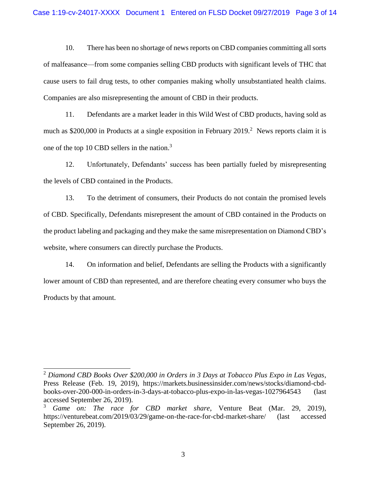10. There has been no shortage of news reports on CBD companies committing all sorts of malfeasance—from some companies selling CBD products with significant levels of THC that cause users to fail drug tests, to other companies making wholly unsubstantiated health claims. Companies are also misrepresenting the amount of CBD in their products.

11. Defendants are a market leader in this Wild West of CBD products, having sold as much as \$200,000 in Products at a single exposition in February  $2019$ <sup>2</sup> News reports claim it is one of the top 10 CBD sellers in the nation.<sup>3</sup>

12. Unfortunately, Defendants' success has been partially fueled by misrepresenting the levels of CBD contained in the Products.

13. To the detriment of consumers, their Products do not contain the promised levels of CBD. Specifically, Defendants misrepresent the amount of CBD contained in the Products on the product labeling and packaging and they make the same misrepresentation on Diamond CBD's website, where consumers can directly purchase the Products.

14. On information and belief, Defendants are selling the Products with a significantly lower amount of CBD than represented, and are therefore cheating every consumer who buys the Products by that amount.

<sup>2</sup> *Diamond CBD Books Over \$200,000 in Orders in 3 Days at Tobacco Plus Expo in Las Vegas*, Press Release (Feb. 19, 2019), https://markets.businessinsider.com/news/stocks/diamond-cbdbooks-over-200-000-in-orders-in-3-days-at-tobacco-plus-expo-in-las-vegas-1027964543 (last accessed September 26, 2019).

<sup>3</sup> *Game on: The race for CBD market share*, Venture Beat (Mar. 29, 2019), https://venturebeat.com/2019/03/29/game-on-the-race-for-cbd-market-share/ (last accessed September 26, 2019).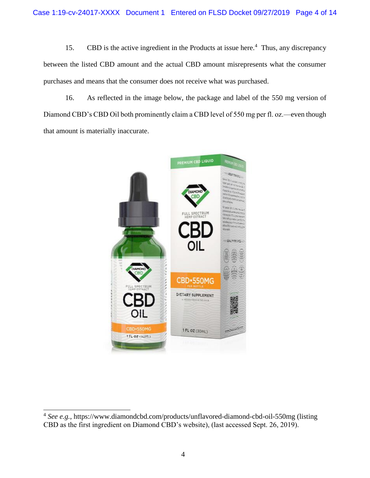15. CBD is the active ingredient in the Products at issue here.<sup>4</sup> Thus, any discrepancy between the listed CBD amount and the actual CBD amount misrepresents what the consumer purchases and means that the consumer does not receive what was purchased.

16. As reflected in the image below, the package and label of the 550 mg version of Diamond CBD's CBD Oil both prominently claim a CBD level of 550 mg per fl. oz.—even though that amount is materially inaccurate.



<sup>&</sup>lt;sup>4</sup> See e.g., https://www.diamondcbd.com/products/unflavored-diamond-cbd-oil-550mg (listing CBD as the first ingredient on Diamond CBD's website), (last accessed Sept. 26, 2019).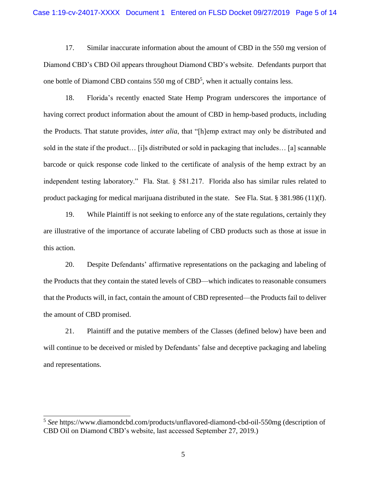17. Similar inaccurate information about the amount of CBD in the 550 mg version of Diamond CBD's CBD Oil appears throughout Diamond CBD's website. Defendants purport that one bottle of Diamond CBD contains  $550$  mg of  $CBD<sup>5</sup>$ , when it actually contains less.

18. Florida's recently enacted State Hemp Program underscores the importance of having correct product information about the amount of CBD in hemp-based products, including the Products. That statute provides, *inter alia*, that "[h]emp extract may only be distributed and sold in the state if the product… [i]s distributed or sold in packaging that includes… [a] scannable barcode or quick response code linked to the certificate of analysis of the hemp extract by an independent testing laboratory." Fla. Stat. § 581.217. Florida also has similar rules related to product packaging for medical marijuana distributed in the state. See Fla. Stat. § 381.986 (11)(f).

19. While Plaintiff is not seeking to enforce any of the state regulations, certainly they are illustrative of the importance of accurate labeling of CBD products such as those at issue in this action.

20. Despite Defendants' affirmative representations on the packaging and labeling of the Products that they contain the stated levels of CBD—which indicates to reasonable consumers that the Products will, in fact, contain the amount of CBD represented—the Products fail to deliver the amount of CBD promised.

21. Plaintiff and the putative members of the Classes (defined below) have been and will continue to be deceived or misled by Defendants' false and deceptive packaging and labeling and representations.

<sup>5</sup> *See* https://www.diamondcbd.com/products/unflavored-diamond-cbd-oil-550mg (description of CBD Oil on Diamond CBD's website, last accessed September 27, 2019.)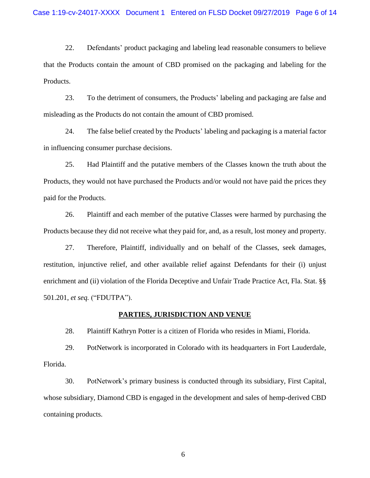22. Defendants' product packaging and labeling lead reasonable consumers to believe that the Products contain the amount of CBD promised on the packaging and labeling for the Products.

23. To the detriment of consumers, the Products' labeling and packaging are false and misleading as the Products do not contain the amount of CBD promised.

24. The false belief created by the Products' labeling and packaging is a material factor in influencing consumer purchase decisions.

25. Had Plaintiff and the putative members of the Classes known the truth about the Products, they would not have purchased the Products and/or would not have paid the prices they paid for the Products.

26. Plaintiff and each member of the putative Classes were harmed by purchasing the Products because they did not receive what they paid for, and, as a result, lost money and property.

27. Therefore, Plaintiff, individually and on behalf of the Classes, seek damages, restitution, injunctive relief, and other available relief against Defendants for their (i) unjust enrichment and (ii) violation of the Florida Deceptive and Unfair Trade Practice Act, Fla. Stat. §§ 501.201, *et seq.* ("FDUTPA").

#### **PARTIES, JURISDICTION AND VENUE**

28. Plaintiff Kathryn Potter is a citizen of Florida who resides in Miami, Florida.

29. PotNetwork is incorporated in Colorado with its headquarters in Fort Lauderdale, Florida.

30. PotNetwork's primary business is conducted through its subsidiary, First Capital, whose subsidiary, Diamond CBD is engaged in the development and sales of hemp-derived CBD containing products.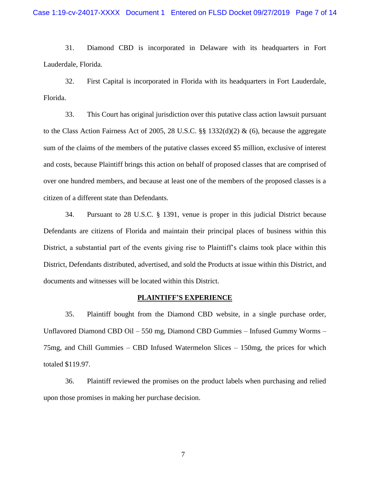31. Diamond CBD is incorporated in Delaware with its headquarters in Fort Lauderdale, Florida.

32. First Capital is incorporated in Florida with its headquarters in Fort Lauderdale, Florida.

33. This Court has original jurisdiction over this putative class action lawsuit pursuant to the Class Action Fairness Act of 2005, 28 U.S.C.  $\S$  1332(d)(2) & (6), because the aggregate sum of the claims of the members of the putative classes exceed \$5 million, exclusive of interest and costs, because Plaintiff brings this action on behalf of proposed classes that are comprised of over one hundred members, and because at least one of the members of the proposed classes is a citizen of a different state than Defendants.

34. Pursuant to 28 U.S.C. § 1391, venue is proper in this judicial District because Defendants are citizens of Florida and maintain their principal places of business within this District, a substantial part of the events giving rise to Plaintiff's claims took place within this District, Defendants distributed, advertised, and sold the Products at issue within this District, and documents and witnesses will be located within this District.

#### **PLAINTIFF'S EXPERIENCE**

35. Plaintiff bought from the Diamond CBD website, in a single purchase order, Unflavored Diamond CBD Oil – 550 mg, Diamond CBD Gummies – Infused Gummy Worms – 75mg, and Chill Gummies – CBD Infused Watermelon Slices – 150mg, the prices for which totaled \$119.97.

36. Plaintiff reviewed the promises on the product labels when purchasing and relied upon those promises in making her purchase decision.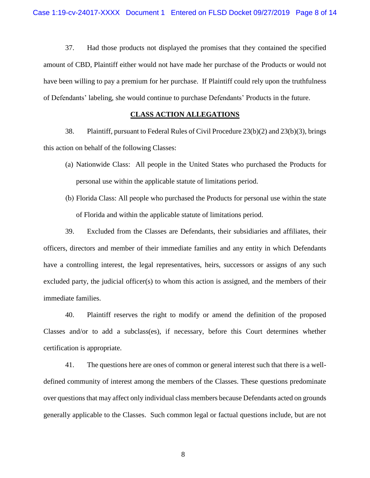37. Had those products not displayed the promises that they contained the specified amount of CBD, Plaintiff either would not have made her purchase of the Products or would not have been willing to pay a premium for her purchase. If Plaintiff could rely upon the truthfulness of Defendants' labeling, she would continue to purchase Defendants' Products in the future.

#### **CLASS ACTION ALLEGATIONS**

38. Plaintiff, pursuant to Federal Rules of Civil Procedure 23(b)(2) and 23(b)(3), brings this action on behalf of the following Classes:

- (a) Nationwide Class: All people in the United States who purchased the Products for personal use within the applicable statute of limitations period.
- (b) Florida Class: All people who purchased the Products for personal use within the state of Florida and within the applicable statute of limitations period.

39. Excluded from the Classes are Defendants, their subsidiaries and affiliates, their officers, directors and member of their immediate families and any entity in which Defendants have a controlling interest, the legal representatives, heirs, successors or assigns of any such excluded party, the judicial officer(s) to whom this action is assigned, and the members of their immediate families.

40. Plaintiff reserves the right to modify or amend the definition of the proposed Classes and/or to add a subclass(es), if necessary, before this Court determines whether certification is appropriate.

41. The questions here are ones of common or general interest such that there is a welldefined community of interest among the members of the Classes. These questions predominate over questions that may affect only individual class members because Defendants acted on grounds generally applicable to the Classes. Such common legal or factual questions include, but are not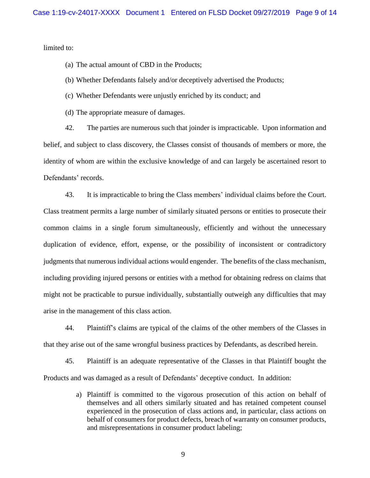limited to:

(a) The actual amount of CBD in the Products;

- (b) Whether Defendants falsely and/or deceptively advertised the Products;
- (c) Whether Defendants were unjustly enriched by its conduct; and
- (d) The appropriate measure of damages.

42. The parties are numerous such that joinder is impracticable. Upon information and belief, and subject to class discovery, the Classes consist of thousands of members or more, the identity of whom are within the exclusive knowledge of and can largely be ascertained resort to Defendants' records.

43. It is impracticable to bring the Class members' individual claims before the Court. Class treatment permits a large number of similarly situated persons or entities to prosecute their common claims in a single forum simultaneously, efficiently and without the unnecessary duplication of evidence, effort, expense, or the possibility of inconsistent or contradictory judgments that numerous individual actions would engender. The benefits of the class mechanism, including providing injured persons or entities with a method for obtaining redress on claims that might not be practicable to pursue individually, substantially outweigh any difficulties that may arise in the management of this class action.

44. Plaintiff's claims are typical of the claims of the other members of the Classes in that they arise out of the same wrongful business practices by Defendants, as described herein.

45. Plaintiff is an adequate representative of the Classes in that Plaintiff bought the Products and was damaged as a result of Defendants' deceptive conduct. In addition:

> a) Plaintiff is committed to the vigorous prosecution of this action on behalf of themselves and all others similarly situated and has retained competent counsel experienced in the prosecution of class actions and, in particular, class actions on behalf of consumers for product defects, breach of warranty on consumer products, and misrepresentations in consumer product labeling;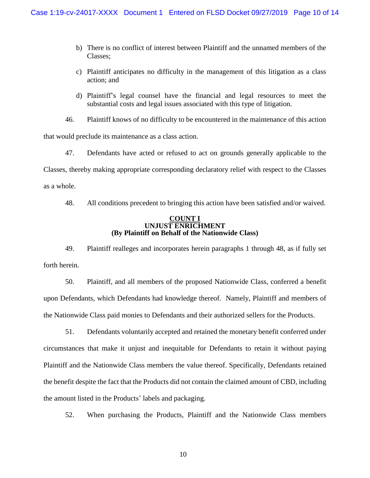- b) There is no conflict of interest between Plaintiff and the unnamed members of the Classes;
- c) Plaintiff anticipates no difficulty in the management of this litigation as a class action; and
- d) Plaintiff's legal counsel have the financial and legal resources to meet the substantial costs and legal issues associated with this type of litigation.

46. Plaintiff knows of no difficulty to be encountered in the maintenance of this action

that would preclude its maintenance as a class action.

47. Defendants have acted or refused to act on grounds generally applicable to the Classes, thereby making appropriate corresponding declaratory relief with respect to the Classes as a whole.

48. All conditions precedent to bringing this action have been satisfied and/or waived.

#### **COUNT I UNJUST ENRICHMENT (By Plaintiff on Behalf of the Nationwide Class)**

49. Plaintiff realleges and incorporates herein paragraphs 1 through 48, as if fully set forth herein.

50. Plaintiff, and all members of the proposed Nationwide Class, conferred a benefit upon Defendants, which Defendants had knowledge thereof. Namely, Plaintiff and members of the Nationwide Class paid monies to Defendants and their authorized sellers for the Products.

51. Defendants voluntarily accepted and retained the monetary benefit conferred under circumstances that make it unjust and inequitable for Defendants to retain it without paying Plaintiff and the Nationwide Class members the value thereof. Specifically, Defendants retained the benefit despite the fact that the Products did not contain the claimed amount of CBD, including the amount listed in the Products' labels and packaging.

52. When purchasing the Products, Plaintiff and the Nationwide Class members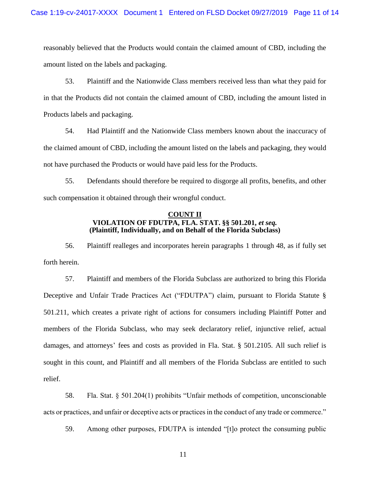reasonably believed that the Products would contain the claimed amount of CBD, including the amount listed on the labels and packaging.

53. Plaintiff and the Nationwide Class members received less than what they paid for in that the Products did not contain the claimed amount of CBD, including the amount listed in Products labels and packaging.

54. Had Plaintiff and the Nationwide Class members known about the inaccuracy of the claimed amount of CBD, including the amount listed on the labels and packaging, they would not have purchased the Products or would have paid less for the Products.

55. Defendants should therefore be required to disgorge all profits, benefits, and other such compensation it obtained through their wrongful conduct.

### **COUNT II VIOLATION OF FDUTPA, FLA. STAT. §§ 501.201,** *et seq.* **(Plaintiff, Individually, and on Behalf of the Florida Subclass)**

56. Plaintiff realleges and incorporates herein paragraphs 1 through 48, as if fully set forth herein.

57. Plaintiff and members of the Florida Subclass are authorized to bring this Florida Deceptive and Unfair Trade Practices Act ("FDUTPA") claim, pursuant to Florida Statute § 501.211, which creates a private right of actions for consumers including Plaintiff Potter and members of the Florida Subclass, who may seek declaratory relief, injunctive relief, actual damages, and attorneys' fees and costs as provided in Fla. Stat. § 501.2105. All such relief is sought in this count, and Plaintiff and all members of the Florida Subclass are entitled to such relief.

58. Fla. Stat. § 501.204(1) prohibits "Unfair methods of competition, unconscionable acts or practices, and unfair or deceptive acts or practices in the conduct of any trade or commerce."

59. Among other purposes, FDUTPA is intended "[t]o protect the consuming public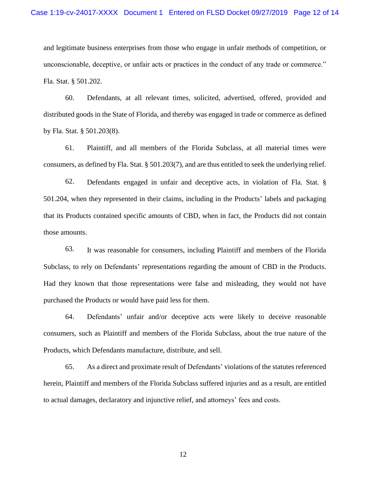and legitimate business enterprises from those who engage in unfair methods of competition, or unconscionable, deceptive, or unfair acts or practices in the conduct of any trade or commerce." Fla. Stat. § 501.202.

60. Defendants, at all relevant times, solicited, advertised, offered, provided and distributed goods in the State of Florida, and thereby was engaged in trade or commerce as defined by Fla. Stat. § 501.203(8).

61. Plaintiff, and all members of the Florida Subclass, at all material times were consumers, as defined by Fla. Stat. § 501.203(7), and are thus entitled to seek the underlying relief.

62. Defendants engaged in unfair and deceptive acts, in violation of Fla. Stat. § 501.204, when they represented in their claims, including in the Products' labels and packaging that its Products contained specific amounts of CBD, when in fact, the Products did not contain those amounts.

63. It was reasonable for consumers, including Plaintiff and members of the Florida Subclass, to rely on Defendants' representations regarding the amount of CBD in the Products. Had they known that those representations were false and misleading, they would not have purchased the Products or would have paid less for them.

64. Defendants' unfair and/or deceptive acts were likely to deceive reasonable consumers, such as Plaintiff and members of the Florida Subclass, about the true nature of the Products, which Defendants manufacture, distribute, and sell.

65. As a direct and proximate result of Defendants' violations of the statutes referenced herein, Plaintiff and members of the Florida Subclass suffered injuries and as a result, are entitled to actual damages, declaratory and injunctive relief, and attorneys' fees and costs.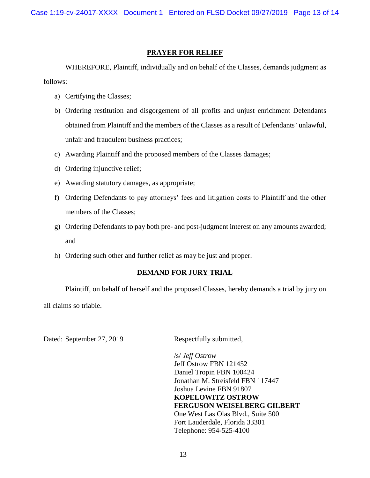Case 1:19-cv-24017-XXXX Document 1 Entered on FLSD Docket 09/27/2019 Page 13 of 14

## **PRAYER FOR RELIEF**

WHEREFORE, Plaintiff, individually and on behalf of the Classes, demands judgment as follows:

- a) Certifying the Classes;
- b) Ordering restitution and disgorgement of all profits and unjust enrichment Defendants obtained from Plaintiff and the members of the Classes as a result of Defendants' unlawful, unfair and fraudulent business practices;
- c) Awarding Plaintiff and the proposed members of the Classes damages;
- d) Ordering injunctive relief;
- e) Awarding statutory damages, as appropriate;
- f) Ordering Defendants to pay attorneys' fees and litigation costs to Plaintiff and the other members of the Classes;
- g) Ordering Defendants to pay both pre- and post-judgment interest on any amounts awarded; and
- h) Ordering such other and further relief as may be just and proper.

# **DEMAND FOR JURY TRIAL**

Plaintiff, on behalf of herself and the proposed Classes, hereby demands a trial by jury on all claims so triable.

Dated: September 27, 2019 Respectfully submitted,

/s/ *Jeff Ostrow* Jeff Ostrow FBN 121452 Daniel Tropin FBN 100424 Jonathan M. Streisfeld FBN 117447 Joshua Levine FBN 91807 **KOPELOWITZ OSTROW FERGUSON WEISELBERG GILBERT** One West Las Olas Blvd., Suite 500 Fort Lauderdale, Florida 33301 Telephone: 954-525-4100